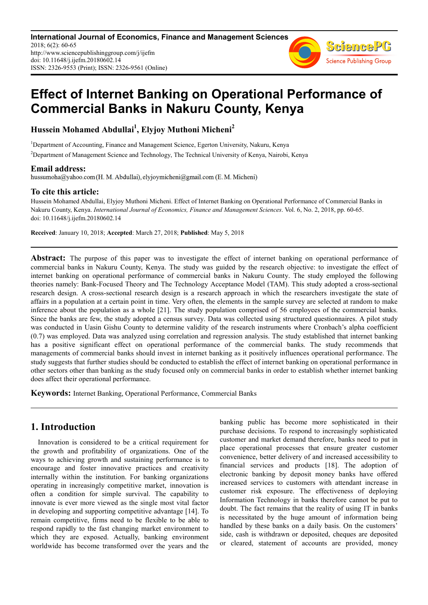**International Journal of Economics, Finance and Management Sciences** 2018; 6(2): 60-65 http://www.sciencepublishinggroup.com/j/ijefm doi: 10.11648/j.ijefm.20180602.14 ISSN: 2326-9553 (Print); ISSN: 2326-9561 (Online)



# **Effect of Internet Banking on Operational Performance of Commercial Banks in Nakuru County, Kenya**

**Hussein Mohamed Abdullai<sup>1</sup> , Elyjoy Muthoni Micheni<sup>2</sup>**

<sup>1</sup>Department of Accounting, Finance and Management Science, Egerton University, Nakuru, Kenya

<sup>2</sup>Department of Management Science and Technology, The Technical University of Kenya, Nairobi, Kenya

**Email address:**<br>hussumoha@yahoo.com (H. M. Abdullai), elyjoymicheni@gmail.com (E. M. Micheni)

# **To cite this article:**

Hussein Mohamed Abdullai, Elyjoy Muthoni Micheni. Effect of Internet Banking on Operational Performance of Commercial Banks in Nakuru County, Kenya. *International Journal of Economics, Finance and Management Sciences*. Vol. 6, No. 2, 2018, pp. 60-65. doi: 10.11648/j.ijefm.20180602.14

**Received**: January 10, 2018; **Accepted**: March 27, 2018; **Published**: May 5, 2018

Abstract: The purpose of this paper was to investigate the effect of internet banking on operational performance of commercial banks in Nakuru County, Kenya. The study was guided by the research objective: to investigate the effect of internet banking on operational performance of commercial banks in Nakuru County. The study employed the following theories namely: Bank-Focused Theory and The Technology Acceptance Model (TAM). This study adopted a cross-sectional research design. A cross-sectional research design is a research approach in which the researchers investigate the state of affairs in a population at a certain point in time. Very often, the elements in the sample survey are selected at random to make inference about the population as a whole [21]. The study population comprised of 56 employees of the commercial banks. Since the banks are few, the study adopted a census survey. Data was collected using structured questionnaires. A pilot study was conducted in Uasin Gishu County to determine validity of the research instruments where Cronbach's alpha coefficient (0.7) was employed. Data was analyzed using correlation and regression analysis. The study established that internet banking has a positive significant effect on operational performance of the commercial banks. The study recommends that managements of commercial banks should invest in internet banking as it positively influences operational performance. The study suggests that further studies should be conducted to establish the effect of internet banking on operational performance in other sectors other than banking as the study focused only on commercial banks in order to establish whether internet banking does affect their operational performance.

**Keywords:** Internet Banking, Operational Performance, Commercial Banks

# **1. Introduction**

Innovation is considered to be a critical requirement for the growth and profitability of organizations. One of the ways to achieving growth and sustaining performance is to encourage and foster innovative practices and creativity internally within the institution. For banking organizations operating in increasingly competitive market, innovation is often a condition for simple survival. The capability to innovate is ever more viewed as the single most vital factor in developing and supporting competitive advantage [14]. To remain competitive, firms need to be flexible to be able to respond rapidly to the fast changing market environment to which they are exposed. Actually, banking environment worldwide has become transformed over the years and the banking public has become more sophisticated in their purchase decisions. To respond to increasingly sophisticated customer and market demand therefore, banks need to put in place operational processes that ensure greater customer convenience, better delivery of and increased accessibility to financial services and products [18]. The adoption of electronic banking by deposit money banks have offered increased services to customers with attendant increase in customer risk exposure. The effectiveness of deploying Information Technology in banks therefore cannot be put to doubt. The fact remains that the reality of using IT in banks is necessitated by the huge amount of information being handled by these banks on a daily basis. On the customers' side, cash is withdrawn or deposited, cheques are deposited or cleared, statement of accounts are provided, money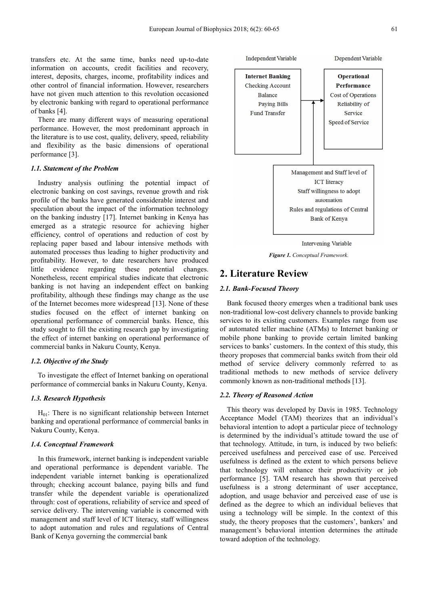transfers etc. At the same time, banks need up-to-date information on accounts, credit facilities and recovery, interest, deposits, charges, income, profitability indices and other control of financial information. However, researchers have not given much attention to this revolution occasioned by electronic banking with regard to operational performance of banks [4].

There are many different ways of measuring operational performance. However, the most predominant approach in the literature is to use cost, quality, delivery, speed, reliability and flexibility as the basic dimensions of operational performance [3].

# *1.1. Statement of the Problem*

Industry analysis outlining the potential impact of electronic banking on cost savings, revenue growth and risk profile of the banks have generated considerable interest and speculation about the impact of the information technology on the banking industry [17]. Internet banking in Kenya has emerged as a strategic resource for achieving higher efficiency, control of operations and reduction of cost by replacing paper based and labour intensive methods with automated processes thus leading to higher productivity and profitability. However, to date researchers have produced little evidence regarding these potential changes. Nonetheless, recent empirical studies indicate that electronic banking is not having an independent effect on banking profitability, although these findings may change as the use of the Internet becomes more widespread [13]. None of these studies focused on the effect of internet banking on operational performance of commercial banks. Hence, this study sought to fill the existing research gap by investigating the effect of internet banking on operational performance of commercial banks in Nakuru County, Kenya.

#### *1.2. Objective of the Study*

To investigate the effect of Internet banking on operational performance of commercial banks in Nakuru County, Kenya.

# *1.3. Research Hypothesis*

 $H<sub>01</sub>$ : There is no significant relationship between Internet banking and operational performance of commercial banks in Nakuru County, Kenya.

# *1.4. Conceptual Framework*

In this framework, internet banking is independent variable and operational performance is dependent variable. The independent variable internet banking is operationalized through; checking account balance, paying bills and fund transfer while the dependent variable is operationalized through: cost of operations, reliability of service and speed of service delivery. The intervening variable is concerned with management and staff level of ICT literacy, staff willingness to adopt automation and rules and regulations of Central Bank of Kenya governing the commercial bank



*Figure 1. Conceptual Framework.* 

# **2. Literature Review**

# *2.1. Bank-Focused Theory*

Bank focused theory emerges when a traditional bank uses non-traditional low-cost delivery channels to provide banking services to its existing customers. Examples range from use of automated teller machine (ATMs) to Internet banking or mobile phone banking to provide certain limited banking services to banks' customers. In the context of this study, this theory proposes that commercial banks switch from their old method of service delivery commonly referred to as traditional methods to new methods of service delivery commonly known as non-traditional methods [13].

### *2.2. Theory of Reasoned Action*

This theory was developed by Davis in 1985. Technology Acceptance Model (TAM) theorizes that an individual's behavioral intention to adopt a particular piece of technology is determined by the individual's attitude toward the use of that technology. Attitude, in turn, is induced by two beliefs: perceived usefulness and perceived ease of use. Perceived usefulness is defined as the extent to which persons believe that technology will enhance their productivity or job performance [5]. TAM research has shown that perceived usefulness is a strong determinant of user acceptance, adoption, and usage behavior and perceived ease of use is defined as the degree to which an individual believes that using a technology will be simple. In the context of this study, the theory proposes that the customers', bankers' and management's behavioral intention determines the attitude toward adoption of the technology.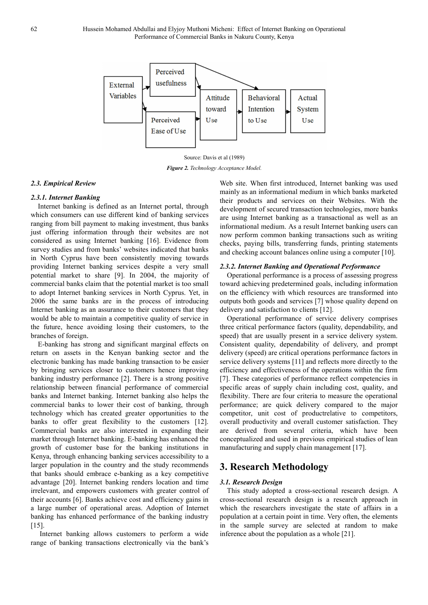

Source: Davis et al (1989)

*Figure 2. Technology Acceptance Model.* 

# *2.3. Empirical Review*

# *2.3.1. Internet Banking*

Internet banking is defined as an Internet portal, through which consumers can use different kind of banking services ranging from bill payment to making investment, thus banks just offering information through their websites are not considered as using Internet banking [16]. Evidence from survey studies and from banks' websites indicated that banks in North Cyprus have been consistently moving towards providing Internet banking services despite a very small potential market to share [9]. In 2004, the majority of commercial banks claim that the potential market is too small to adopt Internet banking services in North Cyprus. Yet, in 2006 the same banks are in the process of introducing Internet banking as an assurance to their customers that they would be able to maintain a competitive quality of service in the future, hence avoiding losing their customers, to the branches of foreign.

E-banking has strong and significant marginal effects on return on assets in the Kenyan banking sector and the electronic banking has made banking transaction to be easier by bringing services closer to customers hence improving banking industry performance [2]. There is a strong positive relationship between financial performance of commercial banks and Internet banking. Internet banking also helps the commercial banks to lower their cost of banking, through technology which has created greater opportunities to the banks to offer great flexibility to the customers [12]. Commercial banks are also interested in expanding their market through Internet banking. E-banking has enhanced the growth of customer base for the banking institutions in Kenya, through enhancing banking services accessibility to a larger population in the country and the study recommends that banks should embrace e-banking as a key competitive advantage [20]. Internet banking renders location and time irrelevant, and empowers customers with greater control of their accounts [6]. Banks achieve cost and efficiency gains in a large number of operational areas. Adoption of Internet banking has enhanced performance of the banking industry [15].

 Internet banking allows customers to perform a wide range of banking transactions electronically via the bank's Web site. When first introduced, Internet banking was used mainly as an informational medium in which banks marketed their products and services on their Websites. With the development of secured transaction technologies, more banks are using Internet banking as a transactional as well as an informational medium. As a result Internet banking users can now perform common banking transactions such as writing checks, paying bills, transferring funds, printing statements and checking account balances online using a computer [10].

# *2.3.2. Internet Banking and Operational Performance*

Operational performance is a process of assessing progress toward achieving predetermined goals, including information on the efficiency with which resources are transformed into outputs both goods and services [7] whose quality depend on delivery and satisfaction to clients [12].

Operational performance of service delivery comprises three critical performance factors (quality, dependability, and speed) that are usually present in a service delivery system. Consistent quality, dependability of delivery, and prompt delivery (speed) are critical operations performance factors in service delivery systems [11] and reflects more directly to the efficiency and effectiveness of the operations within the firm [7]. These categories of performance reflect competencies in specific areas of supply chain including cost, quality, and flexibility. There are four criteria to measure the operational performance; are quick delivery compared to the major competitor, unit cost of productrelative to competitors, overall productivity and overall customer satisfaction. They are derived from several criteria, which have been conceptualized and used in previous empirical studies of lean manufacturing and supply chain management [17].

# **3. Research Methodology**

# *3.1. Research Design*

This study adopted a cross-sectional research design. A cross-sectional research design is a research approach in which the researchers investigate the state of affairs in a population at a certain point in time. Very often, the elements in the sample survey are selected at random to make inference about the population as a whole [21].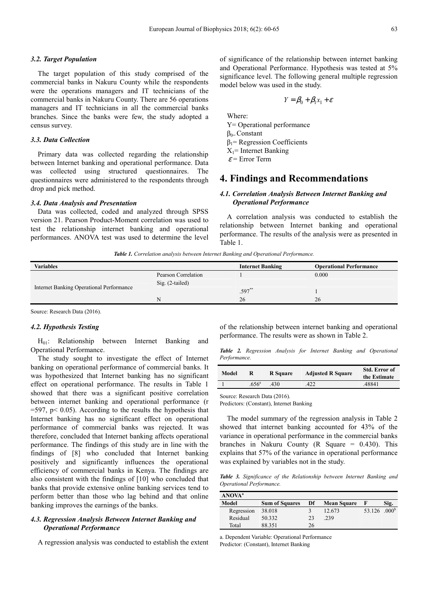### *3.2. Target Population*

The target population of this study comprised of the commercial banks in Nakuru County while the respondents were the operations managers and IT technicians of the commercial banks in Nakuru County. There are 56 operations managers and IT technicians in all the commercial banks branches. Since the banks were few, the study adopted a census survey.

#### *3.3. Data Collection*

Primary data was collected regarding the relationship between Internet banking and operational performance. Data was collected using structured questionnaires. The questionnaires were administered to the respondents through drop and pick method.

#### *3.4. Data Analysis and Presentation*

Data was collected, coded and analyzed through SPSS version 21. Pearson Product-Moment correlation was used to test the relationship internet banking and operational performances. ANOVA test was used to determine the level of significance of the relationship between internet banking and Operational Performance. Hypothesis was tested at 5% significance level. The following general multiple regression model below was used in the study.

$$
Y = \beta_0 + \beta_1 x_1 + \varepsilon
$$

Where:

- Y= Operational performance
- $β<sub>0=</sub> Constant$
- $β<sub>1</sub>$ = Regression Coefficients

 $X_1$ = Internet Banking

 $\varepsilon$  = Error Term

# **4. Findings and Recommendations**

# *4.1. Correlation Analysis Between Internet Banking and Operational Performance*

A correlation analysis was conducted to establish the relationship between Internet banking and operational performance. The results of the analysis were as presented in Table 1.

*Table 1. Correlation analysis between Internet Banking and Operational Performance.* 

| <b>Variables</b>                         |                     | <b>Internet Banking</b> | <b>Operational Performance</b> |
|------------------------------------------|---------------------|-------------------------|--------------------------------|
|                                          | Pearson Correlation |                         | 0.000                          |
|                                          | $Sig. (2-tailed)$   |                         |                                |
| Internet Banking Operational Performance |                     | $.597**$                |                                |
|                                          | N                   | 26                      | 26                             |
|                                          |                     |                         |                                |

Source: Research Data (2016).

# *4.2. Hypothesis Testing*

H01: Relationship between Internet Banking and Operational Performance.

The study sought to investigate the effect of Internet banking on operational performance of commercial banks. It was hypothesized that Internet banking has no significant effect on operational performance. The results in Table 1 showed that there was a significant positive correlation between internet banking and operational performance (r  $=597$ , p $< 0.05$ ). According to the results the hypothesis that Internet banking has no significant effect on operational performance of commercial banks was rejected. It was therefore, concluded that Internet banking affects operational performance. The findings of this study are in line with the findings of [8] who concluded that Internet banking positively and significantly influences the operational efficiency of commercial banks in Kenya. The findings are also consistent with the findings of [10] who concluded that banks that provide extensive online banking services tend to perform better than those who lag behind and that online banking improves the earnings of the banks.

# *4.3. Regression Analysis Between Internet Banking and Operational Performance*

A regression analysis was conducted to establish the extent

of the relationship between internet banking and operational performance. The results were as shown in Table 2.

*Table 2. Regression Analysis for Internet Banking and Operational Performance.* 

| Model |                   | R Square | <b>Adjusted R Square</b> | Std. Error of<br>the Estimate |
|-------|-------------------|----------|--------------------------|-------------------------------|
|       | .656 <sup>a</sup> | 430      | .422                     | .48841                        |

Source: Research Data (2016).

Predictors: (Constant), Internet Banking

The model summary of the regression analysis in Table 2 showed that internet banking accounted for 43% of the variance in operational performance in the commercial banks branches in Nakuru County (R Square  $= 0.430$ ). This explains that 57% of the variance in operational performance was explained by variables not in the study.

*Table 3. Significance of the Relationship between Internet Banking and Operational Performance.* 

| ANOVA <sup>a</sup> |                       |    |                    |                          |      |
|--------------------|-----------------------|----|--------------------|--------------------------|------|
| Model              | <b>Sum of Squares</b> | Df | <b>Mean Square</b> |                          | Sig. |
| Regression         | 38.018                |    | 12.673             | 53.126 .000 <sup>b</sup> |      |
| Residual           | 50.332                | 23 | 239                |                          |      |
| Total              | 88.351                | 26 |                    |                          |      |

a. Dependent Variable: Operational Performance Predictor: (Constant), Internet Banking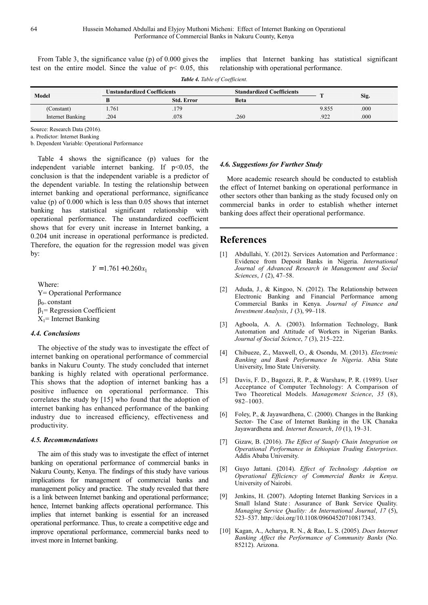From Table 3, the significance value (p) of 0.000 gives the test on the entire model. Since the value of  $p < 0.05$ , this implies that Internet banking has statistical significant relationship with operational performance.

| Table 4. Table of Coefficient. |                                    |                   |                                  |       |      |
|--------------------------------|------------------------------------|-------------------|----------------------------------|-------|------|
| Model                          | <b>Unstandardized Coefficients</b> |                   | <b>Standardized Coefficients</b> |       |      |
|                                |                                    | <b>Std. Error</b> | <b>Beta</b>                      |       | Sig. |
| (Constant)                     | 1.761                              | 179               |                                  | 9.855 | .000 |
| Internet Banking               | .204                               | .078              | .260                             | 922   | .000 |

Source: Research Data (2016).

a. Predictor: Internet Banking

b. Dependent Variable: Operational Performance

Table 4 shows the significance (p) values for the independent variable internet banking. If  $p<0.05$ , the conclusion is that the independent variable is a predictor of the dependent variable. In testing the relationship between internet banking and operational performance, significance value (p) of 0.000 which is less than 0.05 shows that internet banking has statistical significant relationship with operational performance. The unstandardized coefficient shows that for every unit increase in Internet banking, a 0.204 unit increase in operational performance is predicted. Therefore, the equation for the regression model was given by:

$$
Y = 1.761 + 0.260x_1
$$

Where:

Y= Operational Performance  $β<sub>0=</sub> constant$  $β<sub>1</sub>$ = Regression Coefficient  $X_1$ = Internet Banking

#### *4.4. Conclusions*

The objective of the study was to investigate the effect of internet banking on operational performance of commercial banks in Nakuru County. The study concluded that internet banking is highly related with operational performance. This shows that the adoption of internet banking has a positive influence on operational performance. This correlates the study by [15] who found that the adoption of internet banking has enhanced performance of the banking industry due to increased efficiency, effectiveness and productivity.

#### *4.5. Recommendations*

The aim of this study was to investigate the effect of internet banking on operational performance of commercial banks in Nakuru County, Kenya. The findings of this study have various implications for management of commercial banks and management policy and practice. The study revealed that there is a link between Internet banking and operational performance; hence, Internet banking affects operational performance. This implies that internet banking is essential for an increased operational performance. Thus, to create a competitive edge and improve operational performance, commercial banks need to invest more in Internet banking.

# *4.6. Suggestions for Further Study*

More academic research should be conducted to establish the effect of Internet banking on operational performance in other sectors other than banking as the study focused only on commercial banks in order to establish whether internet banking does affect their operational performance.

# **References**

- [1] Abdullahi, Y. (2012). Services Automation and Performance : Evidence from Deposit Banks in Nigeria. *International Journal of Advanced Research in Management and Social Sciences*, *1* (2), 47–58.
- [2] Aduda, J., & Kingoo, N. (2012). The Relationship between Electronic Banking and Financial Performance among Commercial Banks in Kenya. *Journal of Finance and Investment Analysis*, *1* (3), 99–118.
- [3] Agboola, A. A. (2003). Information Technology, Bank Automation and Attitude of Workers in Nigerian Banks. *Journal of Social Science*, *7* (3), 215–222.
- [4] Chibueze, Z., Maxwell, O., & Osondu, M. (2013). *Electronic Banking and Bank Performance In Nigeria*. Abia State University, Imo State University.
- [5] Davis, F. D., Bagozzi, R. P., & Warshaw, P. R. (1989). User Acceptance of Computer Technology: A Comparison of Two Theoretical Models. *Management Science*, *35* (8), 982–1003.
- [6] Foley, P., & Jayawardhena, C. (2000). Changes in the Banking Sector- The Case of Internet Banking in the UK Chanaka Jayawardhena and. *Internet Research*, *10* (1), 19–31.
- [7] Gizaw, B. (2016). *The Effect of Suuply Chain Integration on Operational Performance in Ethiopian Trading Enterprises*. Addis Ababa University.
- [8] Guyo Jattani. (2014). *Effect of Technology Adoption on Operational Efficiency of Commercial Banks in Kenya*. University of Nairobi.
- [9] Jenkins, H. (2007). Adopting Internet Banking Services in a Small Island State: Assurance of Bank Service Quality. *Managing Service Quality: An International Journal*, *17* (5), 523–537. http://doi.org/10.1108/09604520710817343.
- [10] Kagan, A., Acharya, R. N., & Rao, L. S. (2005). *Does Internet Banking Affect the Performance of Community Banks* (No. 85212). Arizona.